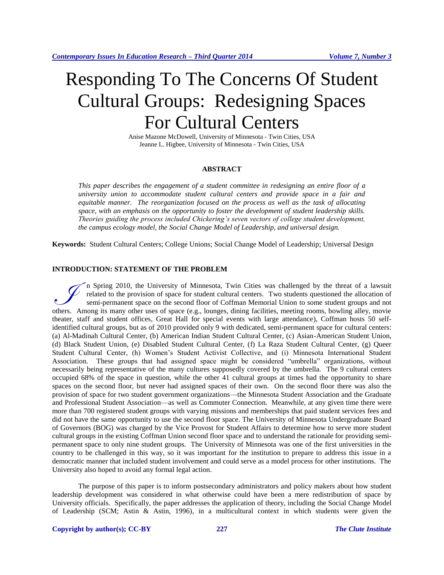# Responding To The Concerns Of Student Cultural Groups: Redesigning Spaces For Cultural Centers

Anise Mazone McDowell, University of Minnesota - Twin Cities, USA Jeanne L. Higbee, University of Minnesota - Twin Cities, USA

# **ABSTRACT**

*This paper describes the engagement of a student committee in redesigning an entire floor of a university union to accommodate student cultural centers and provide space in a fair and equitable manner. The reorganization focused on the process as well as the task of allocating space, with an emphasis on the opportunity to foster the development of student leadership skills. Theories guiding the process included Chickering's seven vectors of college student development, the campus ecology model, the Social Change Model of Leadership, and universal design.*

**Keywords:** Student Cultural Centers; College Unions; Social Change Model of Leadership; Universal Design

## **INTRODUCTION: STATEMENT OF THE PROBLEM**

n Spring 2010, the University of Minnesota, Twin Cities was challenged by the threat of a lawsuit related to the provision of space for student cultural centers. Two students questioned the allocation of semi-permanent space on the second floor of Coffman Memorial Union to some student groups and not The Spring 2010, the University of Minnesota, Twin Cities was challenged by the threat of a lawsuit related to the provision of space for student cultural centers. Two students questioned the allocation of semi-permanent s theater, staff and student offices, Great Hall for special events with large attendance), Coffman hosts 50 selfidentified cultural groups, but as of 2010 provided only 9 with dedicated, semi-permanent space for cultural centers: (a) Al-Madinah Cultural Center, (b) American Indian Student Cultural Center, (c) Asian-American Student Union, (d) Black Student Union, (e) Disabled Student Cultural Center, (f) La Raza Student Cultural Center, (g) Queer Student Cultural Center, (h) Women's Student Activist Collective, and (i) Minnesota International Student Association. These groups that had assigned space might be considered "umbrella" organizations, without necessarily being representative of the many cultures supposedly covered by the umbrella. The 9 cultural centers occupied 68% of the space in question, while the other 41 cultural groups at times had the opportunity to share spaces on the second floor, but never had assigned spaces of their own. On the second floor there was also the provision of space for two student government organizations—the Minnesota Student Association and the Graduate and Professional Student Association—as well as Commuter Connection. Meanwhile, at any given time there were more than 700 registered student groups with varying missions and memberships that paid student services fees and did not have the same opportunity to use the second floor space. The University of Minnesota Undergraduate Board of Governors (BOG) was charged by the Vice Provost for Student Affairs to determine how to serve more student cultural groups in the existing Coffman Union second floor space and to understand the rationale for providing semipermanent space to only nine student groups. The University of Minnesota was one of the first universities in the country to be challenged in this way, so it was important for the institution to prepare to address this issue in a democratic manner that included student involvement and could serve as a model process for other institutions. The University also hoped to avoid any formal legal action.

The purpose of this paper is to inform postsecondary administrators and policy makers about how student leadership development was considered in what otherwise could have been a mere redistribution of space by University officials. Specifically, the paper addresses the application of theory, including the Social Change Model of Leadership (SCM; Astin & Astin, 1996), in a multicultural context in which students were given the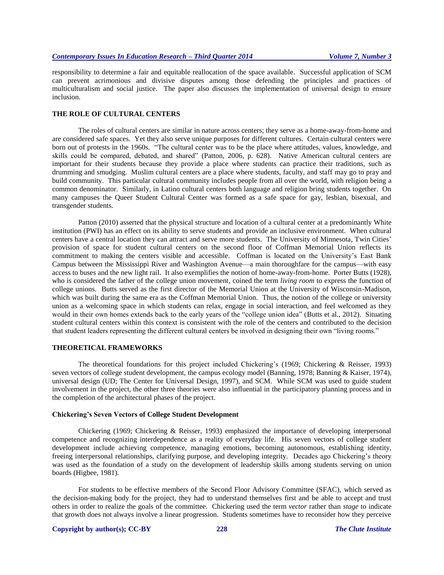responsibility to determine a fair and equitable reallocation of the space available. Successful application of SCM can prevent acrimonious and divisive disputes among those defending the principles and practices of multiculturalism and social justice. The paper also discusses the implementation of universal design to ensure inclusion.

# **THE ROLE OF CULTURAL CENTERS**

The roles of cultural centers are similar in nature across centers; they serve as a home-away-from-home and are considered safe spaces. Yet they also serve unique purposes for different cultures. Certain cultural centers were born out of protests in the 1960s. "The cultural center was to be the place where attitudes, values, knowledge, and skills could be compared, debated, and shared" (Patton, 2006, p. 628). Native American cultural centers are important for their students because they provide a place where students can practice their traditions, such as drumming and smudging. Muslim cultural centers are a place where students, faculty, and staff may go to pray and build community. This particular cultural community includes people from all over the world, with religion being a common denominator. Similarly, in Latino cultural centers both language and religion bring students together. On many campuses the Queer Student Cultural Center was formed as a safe space for gay, lesbian, bisexual, and transgender students.

Patton (2010) asserted that the physical structure and location of a cultural center at a predominantly White institution (PWI) has an effect on its ability to serve students and provide an inclusive environment. When cultural centers have a central location they can attract and serve more students. The University of Minnesota, Twin Cities' provision of space for student cultural centers on the second floor of Coffman Memorial Union reflects its commitment to making the centers visible and accessible. Coffman is located on the University's East Bank Campus between the Mississippi River and Washington Avenue—a main thoroughfare for the campus—with easy access to buses and the new light rail. It also exemplifies the notion of home-away-from-home. Porter Butts (1928), who is considered the father of the college union movement, coined the term *living room* to express the function of college unions. Butts served as the first director of the Memorial Union at the University of Wisconsin-Madison, which was built during the same era as the Coffman Memorial Union. Thus, the notion of the college or university union as a welcoming space in which students can relax, engage in social interaction, and feel welcomed as they would in their own homes extends back to the early years of the "college union idea" (Butts et al., 2012). Situating student cultural centers within this context is consistent with the role of the centers and contributed to the decision that student leaders representing the different cultural centers be involved in designing their own "living rooms."

# **THEORETICAL FRAMEWORKS**

The theoretical foundations for this project included Chickering's (1969; Chickering & Reisser, 1993) seven vectors of college student development, the campus ecology model (Banning, 1978; Banning & Kaiser, 1974), universal design (UD; The Center for Universal Design, 1997), and SCM. While SCM was used to guide student involvement in the project, the other three theories were also influential in the participatory planning process and in the completion of the architectural phases of the project.

### **Chickering's Seven Vectors of College Student Development**

Chickering (1969; Chickering & Reisser, 1993) emphasized the importance of developing interpersonal competence and recognizing interdependence as a reality of everyday life. His seven vectors of college student development include achieving competence, managing emotions, becoming autonomous, establishing identity, freeing interpersonal relationships, clarifying purpose, and developing integrity. Decades ago Chickering's theory was used as the foundation of a study on the development of leadership skills among students serving on union boards (Higbee, 1981).

For students to be effective members of the Second Floor Advisory Committee (SFAC), which served as the decision-making body for the project, they had to understand themselves first and be able to accept and trust others in order to realize the goals of the committee. Chickering used the term *vector* rather than *stage* to indicate that growth does not always involve a linear progression. Students sometimes have to reconsider how they perceive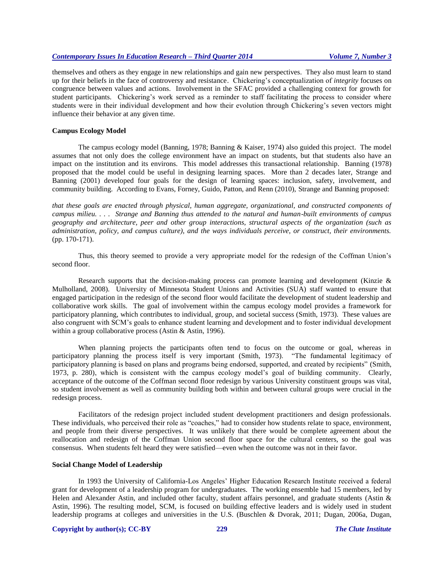themselves and others as they engage in new relationships and gain new perspectives. They also must learn to stand up for their beliefs in the face of controversy and resistance. Chickering's conceptualization of *integrity* focuses on congruence between values and actions. Involvement in the SFAC provided a challenging context for growth for student participants. Chickering's work served as a reminder to staff facilitating the process to consider where students were in their individual development and how their evolution through Chickering's seven vectors might influence their behavior at any given time.

## **Campus Ecology Model**

The campus ecology model (Banning, 1978; Banning & Kaiser, 1974) also guided this project. The model assumes that not only does the college environment have an impact on students, but that students also have an impact on the institution and its environs. This model addresses this transactional relationship. Banning (1978) proposed that the model could be useful in designing learning spaces. More than 2 decades later, Strange and Banning (2001) developed four goals for the design of learning spaces: inclusion, safety, involvement, and community building. According to Evans, Forney, Guido, Patton, and Renn (2010), Strange and Banning proposed:

*that these goals are enacted through physical, human aggregate, organizational, and constructed components of campus milieu. . . . Strange and Banning thus attended to the natural and human-built environments of campus geography and architecture, peer and other group interactions, structural aspects of the organization (such as administration, policy, and campus culture), and the ways individuals perceive, or construct, their environments.*  (pp. 170-171).

Thus, this theory seemed to provide a very appropriate model for the redesign of the Coffman Union's second floor.

Research supports that the decision-making process can promote learning and development (Kinzie & Mulholland, 2008). University of Minnesota Student Unions and Activities (SUA) staff wanted to ensure that engaged participation in the redesign of the second floor would facilitate the development of student leadership and collaborative work skills. The goal of involvement within the campus ecology model provides a framework for participatory planning, which contributes to individual, group, and societal success (Smith, 1973). These values are also congruent with SCM's goals to enhance student learning and development and to foster individual development within a group collaborative process (Astin & Astin, 1996).

When planning projects the participants often tend to focus on the outcome or goal, whereas in participatory planning the process itself is very important (Smith, 1973). "The fundamental legitimacy of participatory planning is based on plans and programs being endorsed, supported, and created by recipients" (Smith, 1973, p. 280), which is consistent with the campus ecology model's goal of building community. Clearly, acceptance of the outcome of the Coffman second floor redesign by various University constituent groups was vital, so student involvement as well as community building both within and between cultural groups were crucial in the redesign process.

Facilitators of the redesign project included student development practitioners and design professionals. These individuals, who perceived their role as "coaches," had to consider how students relate to space, environment, and people from their diverse perspectives. It was unlikely that there would be complete agreement about the reallocation and redesign of the Coffman Union second floor space for the cultural centers, so the goal was consensus. When students felt heard they were satisfied—even when the outcome was not in their favor.

#### **Social Change Model of Leadership**

In 1993 the University of California-Los Angeles' Higher Education Research Institute received a federal grant for development of a leadership program for undergraduates. The working ensemble had 15 members, led by Helen and Alexander Astin, and included other faculty, student affairs personnel, and graduate students (Astin & Astin, 1996). The resulting model, SCM, is focused on building effective leaders and is widely used in student leadership programs at colleges and universities in the U.S. (Buschlen & Dvorak, 2011; Dugan, 2006a, Dugan,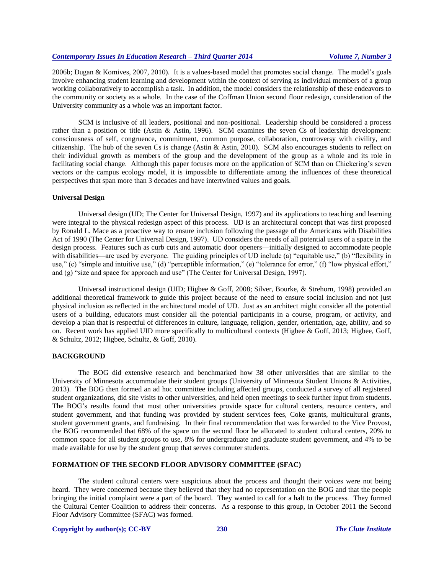2006b; Dugan & Komives, 2007, 2010). It is a values-based model that promotes social change. The model's goals involve enhancing student learning and development within the context of serving as individual members of a group working collaboratively to accomplish a task. In addition, the model considers the relationship of these endeavors to the community or society as a whole. In the case of the Coffman Union second floor redesign, consideration of the University community as a whole was an important factor.

SCM is inclusive of all leaders, positional and non-positional. Leadership should be considered a process rather than a position or title (Astin & Astin, 1996). SCM examines the seven Cs of leadership development: consciousness of self, congruence, commitment, common purpose, collaboration, controversy with civility, and citizenship. The hub of the seven Cs is change (Astin & Astin, 2010).SCM also encourages students to reflect on their individual growth as members of the group and the development of the group as a whole and its role in facilitating social change. Although this paper focuses more on the application of SCM than on Chickering's seven vectors or the campus ecology model, it is impossible to differentiate among the influences of these theoretical perspectives that span more than 3 decades and have intertwined values and goals.

#### **Universal Design**

Universal design (UD; The Center for Universal Design, 1997) and its applications to teaching and learning were integral to the physical redesign aspect of this process. UD is an architectural concept that was first proposed by Ronald L. Mace as a proactive way to ensure inclusion following the passage of the Americans with Disabilities Act of 1990 (The Center for Universal Design, 1997). UD considers the needs of all potential users of a space in the design process. Features such as curb cuts and automatic door openers—initially designed to accommodate people with disabilities—are used by everyone. The guiding principles of UD include (a) "equitable use," (b) "flexibility in use," (c) "simple and intuitive use," (d) "perceptible information," (e) "tolerance for error," (f) "low physical effort," and (g) "size and space for approach and use" (The Center for Universal Design, 1997).

Universal instructional design (UID; Higbee & Goff, 2008; Silver, Bourke, & Strehorn, 1998) provided an additional theoretical framework to guide this project because of the need to ensure social inclusion and not just physical inclusion as reflected in the architectural model of UD. Just as an architect might consider all the potential users of a building, educators must consider all the potential participants in a course, program, or activity, and develop a plan that is respectful of differences in culture, language, religion, gender, orientation, age, ability, and so on. Recent work has applied UID more specifically to multicultural contexts (Higbee & Goff, 2013; Higbee, Goff, & Schultz, 2012; Higbee, Schultz, & Goff, 2010).

#### **BACKGROUND**

The BOG did extensive research and benchmarked how 38 other universities that are similar to the University of Minnesota accommodate their student groups (University of Minnesota Student Unions & Activities, 2013). The BOG then formed an ad hoc committee including affected groups, conducted a survey of all registered student organizations, did site visits to other universities, and held open meetings to seek further input from students. The BOG's results found that most other universities provide space for cultural centers, resource centers, and student government, and that funding was provided by student services fees, Coke grants, multicultural grants, student government grants, and fundraising. In their final recommendation that was forwarded to the Vice Provost, the BOG recommended that 68% of the space on the second floor be allocated to student cultural centers, 20% to common space for all student groups to use, 8% for undergraduate and graduate student government, and 4% to be made available for use by the student group that serves commuter students.

#### **FORMATION OF THE SECOND FLOOR ADVISORY COMMITTEE (SFAC)**

The student cultural centers were suspicious about the process and thought their voices were not being heard. They were concerned because they believed that they had no representation on the BOG and that the people bringing the initial complaint were a part of the board. They wanted to call for a halt to the process. They formed the Cultural Center Coalition to address their concerns. As a response to this group, in October 2011 the Second Floor Advisory Committee (SFAC) was formed.

#### **Copyright by author(s)[; CC-BY](http://creativecommons.org/licenses/by/3.0/) 230** *[The Clute Institute](http://www.cluteinstitute.com/)*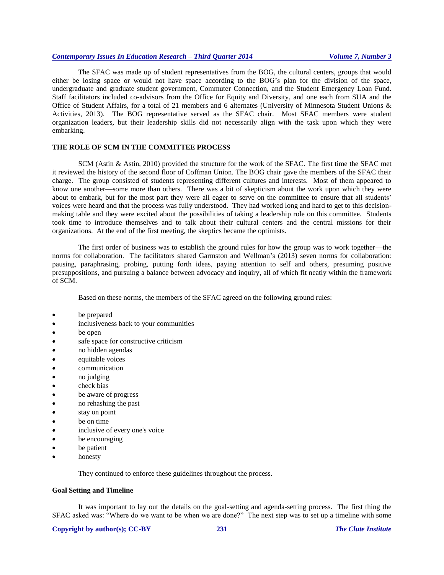The SFAC was made up of student representatives from the BOG, the cultural centers, groups that would either be losing space or would not have space according to the BOG's plan for the division of the space, undergraduate and graduate student government, Commuter Connection, and the Student Emergency Loan Fund. Staff facilitators included co-advisors from the Office for Equity and Diversity, and one each from SUA and the Office of Student Affairs, for a total of 21 members and 6 alternates (University of Minnesota Student Unions & Activities, 2013). The BOG representative served as the SFAC chair. Most SFAC members were student organization leaders, but their leadership skills did not necessarily align with the task upon which they were embarking.

## **THE ROLE OF SCM IN THE COMMITTEE PROCESS**

SCM (Astin & Astin, 2010) provided the structure for the work of the SFAC. The first time the SFAC met it reviewed the history of the second floor of Coffman Union. The BOG chair gave the members of the SFAC their charge. The group consisted of students representing different cultures and interests. Most of them appeared to know one another—some more than others. There was a bit of skepticism about the work upon which they were about to embark, but for the most part they were all eager to serve on the committee to ensure that all students' voices were heard and that the process was fully understood. They had worked long and hard to get to this decisionmaking table and they were excited about the possibilities of taking a leadership role on this committee. Students took time to introduce themselves and to talk about their cultural centers and the central missions for their organizations. At the end of the first meeting, the skeptics became the optimists.

The first order of business was to establish the ground rules for how the group was to work together—the norms for collaboration. The facilitators shared Garmston and Wellman's (2013) seven norms for collaboration: pausing, paraphrasing, probing, putting forth ideas, paying attention to self and others, presuming positive presuppositions, and pursuing a balance between advocacy and inquiry, all of which fit neatly within the framework of SCM.

Based on these norms, the members of the SFAC agreed on the following ground rules:

- be prepared
- inclusiveness back to your communities
- be open
- safe space for constructive criticism
- no hidden agendas
- equitable voices
- communication
- no judging
- check bias
- be aware of progress
- no rehashing the past
- stay on point
- be on time
- inclusive of every one's voice
- be encouraging
- be patient
- honesty

They continued to enforce these guidelines throughout the process.

#### **Goal Setting and Timeline**

It was important to lay out the details on the goal-setting and agenda-setting process. The first thing the SFAC asked was: "Where do we want to be when we are done?" The next step was to set up a timeline with some

#### **Copyright by author(s)[; CC-BY](http://creativecommons.org/licenses/by/3.0/) 231** *[The Clute Institute](http://www.cluteinstitute.com/)*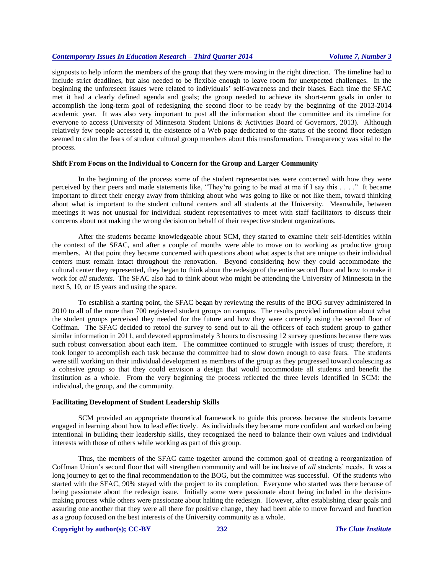signposts to help inform the members of the group that they were moving in the right direction. The timeline had to include strict deadlines, but also needed to be flexible enough to leave room for unexpected challenges. In the beginning the unforeseen issues were related to individuals' self-awareness and their biases. Each time the SFAC met it had a clearly defined agenda and goals; the group needed to achieve its short-term goals in order to accomplish the long-term goal of redesigning the second floor to be ready by the beginning of the 2013-2014 academic year. It was also very important to post all the information about the committee and its timeline for everyone to access (University of Minnesota Student Unions & Activities Board of Governors, 2013). Although relatively few people accessed it, the existence of a Web page dedicated to the status of the second floor redesign seemed to calm the fears of student cultural group members about this transformation. Transparency was vital to the process.

## **Shift From Focus on the Individual to Concern for the Group and Larger Community**

In the beginning of the process some of the student representatives were concerned with how they were perceived by their peers and made statements like, "They're going to be mad at me if I say this . . . ." It became important to direct their energy away from thinking about who was going to like or not like them, toward thinking about what is important to the student cultural centers and all students at the University. Meanwhile, between meetings it was not unusual for individual student representatives to meet with staff facilitators to discuss their concerns about not making the wrong decision on behalf of their respective student organizations.

After the students became knowledgeable about SCM, they started to examine their self-identities within the context of the SFAC, and after a couple of months were able to move on to working as productive group members. At that point they became concerned with questions about what aspects that are unique to their individual centers must remain intact throughout the renovation. Beyond considering how they could accommodate the cultural center they represented, they began to think about the redesign of the entire second floor and how to make it work for *all students*. The SFAC also had to think about who might be attending the University of Minnesota in the next 5, 10, or 15 years and using the space.

To establish a starting point, the SFAC began by reviewing the results of the BOG survey administered in 2010 to all of the more than 700 registered student groups on campus. The results provided information about what the student groups perceived they needed for the future and how they were currently using the second floor of Coffman. The SFAC decided to retool the survey to send out to all the officers of each student group to gather similar information in 2011, and devoted approximately 3 hours to discussing 12 survey questions because there was such robust conversation about each item. The committee continued to struggle with issues of trust; therefore, it took longer to accomplish each task because the committee had to slow down enough to ease fears. The students were still working on their individual development as members of the group as they progressed toward coalescing as a cohesive group so that they could envision a design that would accommodate all students and benefit the institution as a whole. From the very beginning the process reflected the three levels identified in SCM: the individual, the group, and the community.

#### **Facilitating Development of Student Leadership Skills**

SCM provided an appropriate theoretical framework to guide this process because the students became engaged in learning about how to lead effectively. As individuals they became more confident and worked on being intentional in building their leadership skills, they recognized the need to balance their own values and individual interests with those of others while working as part of this group.

Thus, the members of the SFAC came together around the common goal of creating a reorganization of Coffman Union's second floor that will strengthen community and will be inclusive of *all* students' needs. It was a long journey to get to the final recommendation to the BOG, but the committee was successful. Of the students who started with the SFAC, 90% stayed with the project to its completion. Everyone who started was there because of being passionate about the redesign issue. Initially some were passionate about being included in the decisionmaking process while others were passionate about halting the redesign. However, after establishing clear goals and assuring one another that they were all there for positive change, they had been able to move forward and function as a group focused on the best interests of the University community as a whole.

#### **Copyright by author(s)[; CC-BY](http://creativecommons.org/licenses/by/3.0/) 232** *[The Clute Institute](http://www.cluteinstitute.com/)*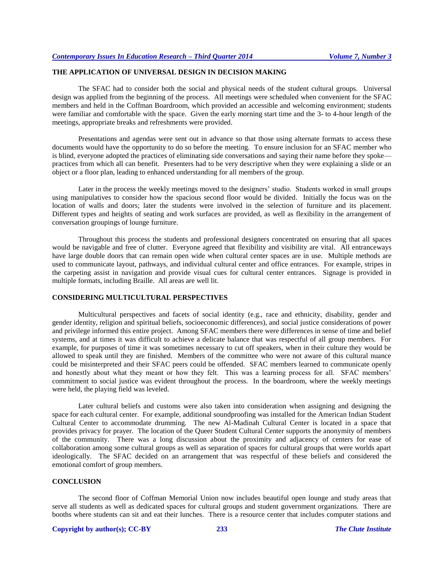# **THE APPLICATION OF UNIVERSAL DESIGN IN DECISION MAKING**

The SFAC had to consider both the social and physical needs of the student cultural groups. Universal design was applied from the beginning of the process. All meetings were scheduled when convenient for the SFAC members and held in the Coffman Boardroom, which provided an accessible and welcoming environment; students were familiar and comfortable with the space. Given the early morning start time and the 3- to 4-hour length of the meetings, appropriate breaks and refreshments were provided.

Presentations and agendas were sent out in advance so that those using alternate formats to access these documents would have the opportunity to do so before the meeting. To ensure inclusion for an SFAC member who is blind, everyone adopted the practices of eliminating side conversations and saying their name before they spoke practices from which all can benefit. Presenters had to be very descriptive when they were explaining a slide or an object or a floor plan, leading to enhanced understanding for all members of the group.

Later in the process the weekly meetings moved to the designers' studio. Students worked in small groups using manipulatives to consider how the spacious second floor would be divided. Initially the focus was on the location of walls and doors; later the students were involved in the selection of furniture and its placement. Different types and heights of seating and work surfaces are provided, as well as flexibility in the arrangement of conversation groupings of lounge furniture.

Throughout this process the students and professional designers concentrated on ensuring that all spaces would be navigable and free of clutter. Everyone agreed that flexibility and visibility are vital. All entranceways have large double doors that can remain open wide when cultural center spaces are in use. Multiple methods are used to communicate layout, pathways, and individual cultural center and office entrances. For example, stripes in the carpeting assist in navigation and provide visual cues for cultural center entrances. Signage is provided in multiple formats, including Braille. All areas are well lit.

# **CONSIDERING MULTICULTURAL PERSPECTIVES**

Multicultural perspectives and facets of social identity (e.g., race and ethnicity, disability, gender and gender identity, religion and spiritual beliefs, socioeconomic differences), and social justice considerations of power and privilege informed this entire project. Among SFAC members there were differences in sense of time and belief systems, and at times it was difficult to achieve a delicate balance that was respectful of all group members. For example, for purposes of time it was sometimes necessary to cut off speakers, when in their culture they would be allowed to speak until they are finished. Members of the committee who were not aware of this cultural nuance could be misinterpreted and their SFAC peers could be offended. SFAC members learned to communicate openly and honestly about what they meant or how they felt. This was a learning process for all. SFAC members' commitment to social justice was evident throughout the process. In the boardroom, where the weekly meetings were held, the playing field was leveled.

Later cultural beliefs and customs were also taken into consideration when assigning and designing the space for each cultural center. For example, additional soundproofing was installed for the American Indian Student Cultural Center to accommodate drumming. The new Al-Madinah Cultural Center is located in a space that provides privacy for prayer. The location of the Queer Student Cultural Center supports the anonymity of members of the community. There was a long discussion about the proximity and adjacency of centers for ease of collaboration among some cultural groups as well as separation of spaces for cultural groups that were worlds apart ideologically. The SFAC decided on an arrangement that was respectful of these beliefs and considered the emotional comfort of group members.

#### **CONCLUSION**

The second floor of Coffman Memorial Union now includes beautiful open lounge and study areas that serve all students as well as dedicated spaces for cultural groups and student government organizations. There are booths where students can sit and eat their lunches. There is a resource center that includes computer stations and

#### **Copyright by author(s)[; CC-BY](http://creativecommons.org/licenses/by/3.0/) 233** *[The Clute Institute](http://www.cluteinstitute.com/)*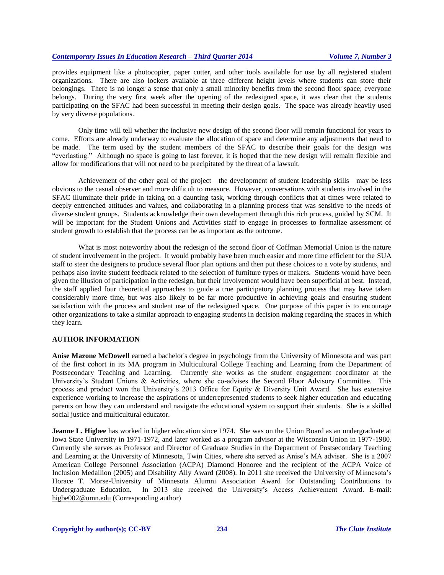provides equipment like a photocopier, paper cutter, and other tools available for use by all registered student organizations. There are also lockers available at three different height levels where students can store their belongings. There is no longer a sense that only a small minority benefits from the second floor space; everyone belongs. During the very first week after the opening of the redesigned space, it was clear that the students participating on the SFAC had been successful in meeting their design goals. The space was already heavily used by very diverse populations.

Only time will tell whether the inclusive new design of the second floor will remain functional for years to come. Efforts are already underway to evaluate the allocation of space and determine any adjustments that need to be made. The term used by the student members of the SFAC to describe their goals for the design was "everlasting." Although no space is going to last forever, it is hoped that the new design will remain flexible and allow for modifications that will not need to be precipitated by the threat of a lawsuit.

Achievement of the other goal of the project—the development of student leadership skills—may be less obvious to the casual observer and more difficult to measure. However, conversations with students involved in the SFAC illuminate their pride in taking on a daunting task, working through conflicts that at times were related to deeply entrenched attitudes and values, and collaborating in a planning process that was sensitive to the needs of diverse student groups. Students acknowledge their own development through this rich process, guided by SCM. It will be important for the Student Unions and Activities staff to engage in processes to formalize assessment of student growth to establish that the process can be as important as the outcome.

What is most noteworthy about the redesign of the second floor of Coffman Memorial Union is the nature of student involvement in the project. It would probably have been much easier and more time efficient for the SUA staff to steer the designers to produce several floor plan options and then put these choices to a vote by students, and perhaps also invite student feedback related to the selection of furniture types or makers. Students would have been given the illusion of participation in the redesign, but their involvement would have been superficial at best. Instead, the staff applied four theoretical approaches to guide a true participatory planning process that may have taken considerably more time, but was also likely to be far more productive in achieving goals and ensuring student satisfaction with the process and student use of the redesigned space. One purpose of this paper is to encourage other organizations to take a similar approach to engaging students in decision making regarding the spaces in which they learn.

## **AUTHOR INFORMATION**

**Anise Mazone McDowell** earned a bachelor's degree in psychology from the University of Minnesota and was part of the first cohort in its MA program in Multicultural College Teaching and Learning from the Department of Postsecondary Teaching and Learning. Currently she works as the student engagement coordinator at the University's Student Unions & Activities, where she co-advises the Second Floor Advisory Committee. This process and product won the University's 2013 Office for Equity & Diversity Unit Award. She has extensive experience working to increase the aspirations of underrepresented students to seek higher education and educating parents on how they can understand and navigate the educational system to support their students. She is a skilled social justice and multicultural educator.

**Jeanne L. Higbee** has worked in higher education since 1974. She was on the Union Board as an undergraduate at Iowa State University in 1971-1972, and later worked as a program advisor at the Wisconsin Union in 1977-1980. Currently she serves as Professor and Director of Graduate Studies in the Department of Postsecondary Teaching and Learning at the University of Minnesota, Twin Cities, where she served as Anise's MA adviser. She is a 2007 American College Personnel Association (ACPA) Diamond Honoree and the recipient of the ACPA Voice of Inclusion Medallion (2005) and Disability Ally Award (2008). In 2011 she received the University of Minnesota's Horace T. Morse-University of Minnesota Alumni Association Award for Outstanding Contributions to Undergraduate Education. In 2013 she received the University's Access Achievement Award. E-mail: higbe002@umn.edu (Corresponding author)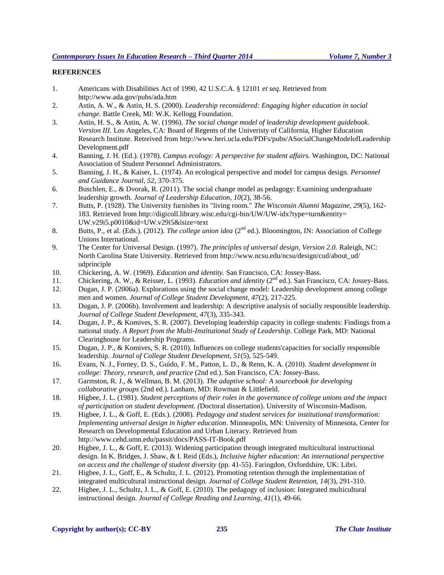# **REFERENCES**

- 1. Americans with Disabilities Act of 1990, 42 U.S.C.A. § 12101 *et seq*. Retrieved from http://www.ada.gov/pubs/ada.htm
- 2. Astin, A. W., & Astin, H. S. (2000). *Leadership reconsidered: Engaging higher education in social change.* Battle Creek, MI: W.K. Kellogg Foundation.
- 3. Astin, H. S., & Astin, A. W. (1996). *The social change model of leadership development guidebook. Version III.* Los Angeles, CA: Board of Regents of the Univeristy of California, Higher Education Research Institute. Retreived from http://www.heri.ucla.edu/PDFs/pubs/ASocialChangeModelofLeadership Development.pdf
- 4. Banning, J. H. (Ed.). (1978). *Campus ecology: A perspective for student affairs.* Washington, DC: National Association of Student Personnel Administrators.
- 5. Banning, J. H., & Kaiser, L. (1974). An ecological perspective and model for campus design. *Personnel and Guidance Journal, 52*, 370-375.
- 6. Buschlen, E., & Dvorak, R. (2011). The social change model as pedagogy: Examining undergraduate leadership growth. *Journal of Leadership Education, 10*(2), 38-56.
- 7. Butts, P. (1928). The University furnishes its "living room." *The Wisconsin Alumni Magazine, 29*(5), 162- 183. Retrieved from http://digicoll.library.wisc.edu/cgi-bin/UW/UW-idx?type=turn&entity= UW.v29i5.p0010&id=UW.v29i5&isize=text
- 8. Butts, P., et al. (Eds.). (2012). *The college union idea* (2<sup>nd</sup> ed.). Bloomington, IN: Association of College Unions International.
- 9. The Center for Universal Design. (1997). *The principles of universal design, Version 2.0.* Raleigh, NC: North Carolina State University. Retrieved from http://www.ncsu.edu/ncsu/design/cud/about\_ud/ udprinciple
- 10. Chickering, A. W. (1969). *Education and identity.* San Francisco, CA: Jossey-Bass.
- 11. Chickering, A. W., & Reisser, L. (1993). *Education and identity* (2<sup>nd</sup> ed.). San Francisco, CA: Jossey-Bass.
- 12. Dugan, J. P. (2006a). Explorations using the social change model: Leadership development among college men and women. *Journal of College Student Development, 47*(2), 217-225.
- 13. Dugan, J. P. (2006b). Involvement and leadership: A descriptive analysis of socially responsible leadership. *Journal of College Student Development, 47*(3), 335-343.
- 14. Dugan, J. P., & Komives, S. R. (2007). Developing leadership capacity in college students: Findings from a national study. *A Report from the Multi-Institutional Study of Leadership*. College Park, MD: National Clearinghouse for Leadership Programs.
- 15. Dugan, J. P., & Komives, S. R. (2010). Influences on college students'capacities for socially responsible leadership. *Journal of College Student Development, 51*(5), 525-549.
- 16. Evans, N. J., Forney, D. S., Guido, F. M., Patton, L. D., & Renn, K. A. (2010). *Student development in college: Theory, research, and practice* (2nd ed.). San Francisco, CA: Jossey-Bass.
- 17. Garmston, R. J., & Wellman, B. M. (2013). *The adaptive school: A sourcebook for developing collaborative groups* (2nd ed.). Lanham, MD: Rowman & Littlefield.
- 18. Higbee, J. L. (1981). *Student perceptions of their roles in the governance of college unions and the impact of participation on student development. (*Doctoral dissertation). University of Wisconsin-Madison.
- 19. Higbee, J. L., & Goff, E. (Eds.). (2008). *Pedagogy and student services for institutional transformation: Implementing universal design in higher education*. Minneapolis, MN: University of Minnesota, Center for Research on Developmental Education and Urban Literacy. Retrieved from http://www.cehd.umn.edu/passit/docs/PASS-IT-Book.pdf
- 20. Higbee, J. L., & Goff, E. (2013). Widening participation through integrated multicultural instructional design. In K. Bridges, J. Shaw, & I. Reid (Eds.), *Inclusive higher education: An international perspective on access and the challenge of student diversity* (pp. 41-55). Faringdon, Oxfordshire, UK: Libri.
- 21. Higbee, J. L., Goff, E., & Schultz, J. L. (2012). Promoting retention through the implementation of integrated multicultural instructional design. *Journal of College Student Retention, 14*(3), 291-310.
- 22. Higbee, J. L., Schultz, J. L., & Goff, E. (2010). The pedagogy of inclusion: Integrated multicultural instructional design. *Journal of College Reading and Learning, 41*(1), 49-66.